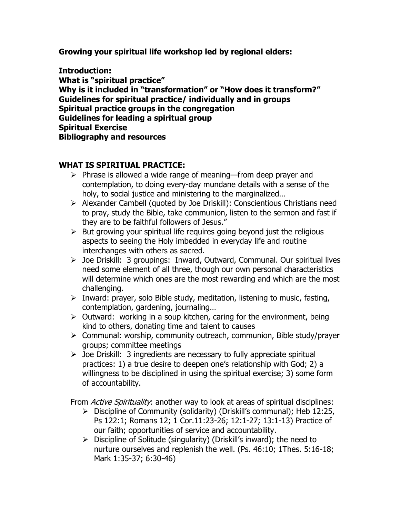**Growing your spiritual life workshop led by regional elders:**

**Introduction: What is "spiritual practice" Why is it included in "transformation" or "How does it transform?" Guidelines for spiritual practice/ individually and in groups Spiritual practice groups in the congregation Guidelines for leading a spiritual group Spiritual Exercise Bibliography and resources**

## **WHAT IS SPIRITUAL PRACTICE:**

- $\triangleright$  Phrase is allowed a wide range of meaning—from deep prayer and contemplation, to doing every-day mundane details with a sense of the holy, to social justice and ministering to the marginalized…
- Alexander Cambell (quoted by Joe Driskill): Conscientious Christians need to pray, study the Bible, take communion, listen to the sermon and fast if they are to be faithful followers of Jesus."
- $\triangleright$  But growing your spiritual life requires going beyond just the religious aspects to seeing the Holy imbedded in everyday life and routine interchanges with others as sacred.
- Joe Driskill: 3 groupings: Inward, Outward, Communal. Our spiritual lives need some element of all three, though our own personal characteristics will determine which ones are the most rewarding and which are the most challenging.
- $\triangleright$  Inward: prayer, solo Bible study, meditation, listening to music, fasting, contemplation, gardening, journaling…
- $\triangleright$  Outward: working in a soup kitchen, caring for the environment, being kind to others, donating time and talent to causes
- Communal: worship, community outreach, communion, Bible study/prayer groups; committee meetings
- $\triangleright$  Joe Driskill: 3 ingredients are necessary to fully appreciate spiritual practices: 1) a true desire to deepen one"s relationship with God; 2) a willingness to be disciplined in using the spiritual exercise; 3) some form of accountability.

From Active Spirituality: another way to look at areas of spiritual disciplines:

- $\triangleright$  Discipline of Community (solidarity) (Driskill's communal); Heb 12:25, Ps 122:1; Romans 12; 1 Cor.11:23-26; 12:1-27; 13:1-13) Practice of our faith; opportunities of service and accountability.
- $\triangleright$  Discipline of Solitude (singularity) (Driskill's inward); the need to nurture ourselves and replenish the well. (Ps. 46:10; 1Thes. 5:16-18; Mark 1:35-37; 6:30-46)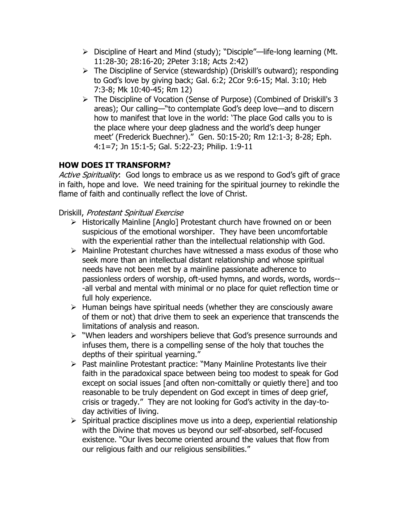- Discipline of Heart and Mind (study); "Disciple"—life-long learning (Mt. 11:28-30; 28:16-20; 2Peter 3:18; Acts 2:42)
- $\triangleright$  The Discipline of Service (stewardship) (Driskill's outward); responding to God"s love by giving back; Gal. 6:2; 2Cor 9:6-15; Mal. 3:10; Heb 7:3-8; Mk 10:40-45; Rm 12)
- The Discipline of Vocation (Sense of Purpose) (Combined of Driskill's 3 areas); Our calling—"to contemplate God"s deep love—and to discern how to manifest that love in the world: "The place God calls you to is the place where your deep gladness and the world"s deep hunger meet" (Frederick Buechner)." Gen. 50:15-20; Rm 12:1-3; 8-28; Eph. 4:1=7; Jn 15:1-5; Gal. 5:22-23; Philip. 1:9-11

# **HOW DOES IT TRANSFORM?**

Active Spirituality: God longs to embrace us as we respond to God's gift of grace in faith, hope and love. We need training for the spiritual journey to rekindle the flame of faith and continually reflect the love of Christ.

Driskill, Protestant Spiritual Exercise

- $\triangleright$  Historically Mainline [Anglo] Protestant church have frowned on or been suspicious of the emotional worshiper. They have been uncomfortable with the experiential rather than the intellectual relationship with God.
- $\triangleright$  Mainline Protestant churches have witnessed a mass exodus of those who seek more than an intellectual distant relationship and whose spiritual needs have not been met by a mainline passionate adherence to passionless orders of worship, oft-used hymns, and words, words, words-- -all verbal and mental with minimal or no place for quiet reflection time or full holy experience.
- $\triangleright$  Human beings have spiritual needs (whether they are consciously aware of them or not) that drive them to seek an experience that transcends the limitations of analysis and reason.
- "When leaders and worshipers believe that God"s presence surrounds and infuses them, there is a compelling sense of the holy that touches the depths of their spiritual yearning."
- $\triangleright$  Past mainline Protestant practice: "Many Mainline Protestants live their faith in the paradoxical space between being too modest to speak for God except on social issues [and often non-comittally or quietly there] and too reasonable to be truly dependent on God except in times of deep grief, crisis or tragedy." They are not looking for God"s activity in the day-today activities of living.
- $\triangleright$  Spiritual practice disciplines move us into a deep, experiential relationship with the Divine that moves us beyond our self-absorbed, self-focused existence. "Our lives become oriented around the values that flow from our religious faith and our religious sensibilities."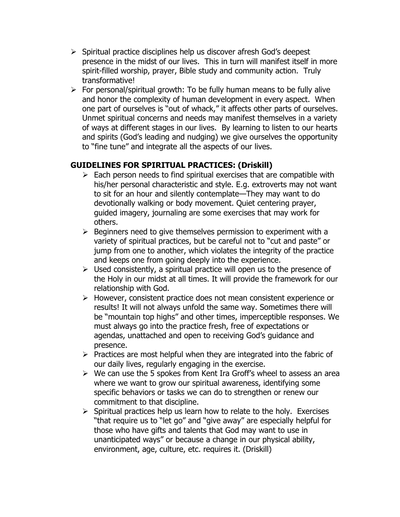- $\triangleright$  Spiritual practice disciplines help us discover afresh God's deepest presence in the midst of our lives. This in turn will manifest itself in more spirit-filled worship, prayer, Bible study and community action. Truly transformative!
- $\triangleright$  For personal/spiritual growth: To be fully human means to be fully alive and honor the complexity of human development in every aspect. When one part of ourselves is "out of whack," it affects other parts of ourselves. Unmet spiritual concerns and needs may manifest themselves in a variety of ways at different stages in our lives. By learning to listen to our hearts and spirits (God"s leading and nudging) we give ourselves the opportunity to "fine tune" and integrate all the aspects of our lives.

## **GUIDELINES FOR SPIRITUAL PRACTICES: (Driskill)**

- $\triangleright$  Each person needs to find spiritual exercises that are compatible with his/her personal characteristic and style. E.g. extroverts may not want to sit for an hour and silently contemplate—They may want to do devotionally walking or body movement. Quiet centering prayer, guided imagery, journaling are some exercises that may work for others.
- $\triangleright$  Beginners need to give themselves permission to experiment with a variety of spiritual practices, but be careful not to "cut and paste" or jump from one to another, which violates the integrity of the practice and keeps one from going deeply into the experience.
- $\triangleright$  Used consistently, a spiritual practice will open us to the presence of the Holy in our midst at all times. It will provide the framework for our relationship with God.
- $\triangleright$  However, consistent practice does not mean consistent experience or results! It will not always unfold the same way. Sometimes there will be "mountain top highs" and other times, imperceptible responses. We must always go into the practice fresh, free of expectations or agendas, unattached and open to receiving God's guidance and presence.
- $\triangleright$  Practices are most helpful when they are integrated into the fabric of our daily lives, regularly engaging in the exercise.
- $\triangleright$  We can use the 5 spokes from Kent Ira Groff's wheel to assess an area where we want to grow our spiritual awareness, identifying some specific behaviors or tasks we can do to strengthen or renew our commitment to that discipline.
- $\triangleright$  Spiritual practices help us learn how to relate to the holy. Exercises "that require us to "let go" and "give away" are especially helpful for those who have gifts and talents that God may want to use in unanticipated ways" or because a change in our physical ability, environment, age, culture, etc. requires it. (Driskill)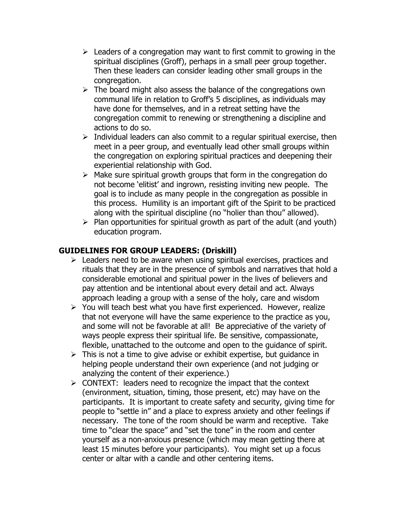- $\triangleright$  Leaders of a congregation may want to first commit to growing in the spiritual disciplines (Groff), perhaps in a small peer group together. Then these leaders can consider leading other small groups in the congregation.
- $\triangleright$  The board might also assess the balance of the congregations own communal life in relation to Groff"s 5 disciplines, as individuals may have done for themselves, and in a retreat setting have the congregation commit to renewing or strengthening a discipline and actions to do so.
- $\triangleright$  Individual leaders can also commit to a regular spiritual exercise, then meet in a peer group, and eventually lead other small groups within the congregation on exploring spiritual practices and deepening their experiential relationship with God.
- $\triangleright$  Make sure spiritual growth groups that form in the congregation do not become "elitist" and ingrown, resisting inviting new people. The goal is to include as many people in the congregation as possible in this process. Humility is an important gift of the Spirit to be practiced along with the spiritual discipline (no "holier than thou" allowed).
- $\triangleright$  Plan opportunities for spiritual growth as part of the adult (and youth) education program.

## **GUIDELINES FOR GROUP LEADERS: (Driskill)**

- $\triangleright$  Leaders need to be aware when using spiritual exercises, practices and rituals that they are in the presence of symbols and narratives that hold a considerable emotional and spiritual power in the lives of believers and pay attention and be intentional about every detail and act. Always approach leading a group with a sense of the holy, care and wisdom
- $\triangleright$  You will teach best what you have first experienced. However, realize that not everyone will have the same experience to the practice as you, and some will not be favorable at all! Be appreciative of the variety of ways people express their spiritual life. Be sensitive, compassionate, flexible, unattached to the outcome and open to the guidance of spirit.
- $\triangleright$  This is not a time to give advise or exhibit expertise, but guidance in helping people understand their own experience (and not judging or analyzing the content of their experience.)
- $\triangleright$  CONTEXT: leaders need to recognize the impact that the context (environment, situation, timing, those present, etc) may have on the participants. It is important to create safety and security, giving time for people to "settle in" and a place to express anxiety and other feelings if necessary. The tone of the room should be warm and receptive. Take time to "clear the space" and "set the tone" in the room and center yourself as a non-anxious presence (which may mean getting there at least 15 minutes before your participants). You might set up a focus center or altar with a candle and other centering items.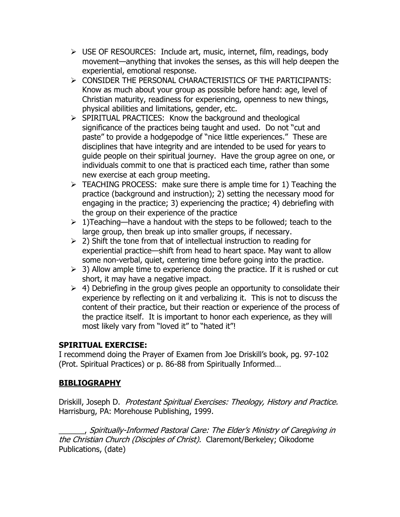- $\triangleright$  USE OF RESOURCES: Include art, music, internet, film, readings, body movement—anything that invokes the senses, as this will help deepen the experiential, emotional response.
- CONSIDER THE PERSONAL CHARACTERISTICS OF THE PARTICIPANTS: Know as much about your group as possible before hand: age, level of Christian maturity, readiness for experiencing, openness to new things, physical abilities and limitations, gender, etc.
- $\triangleright$  SPIRITUAL PRACTICES: Know the background and theological significance of the practices being taught and used. Do not "cut and paste" to provide a hodgepodge of "nice little experiences." These are disciplines that have integrity and are intended to be used for years to guide people on their spiritual journey. Have the group agree on one, or individuals commit to one that is practiced each time, rather than some new exercise at each group meeting.
- $\triangleright$  TEACHING PROCESS: make sure there is ample time for 1) Teaching the practice (background and instruction); 2) setting the necessary mood for engaging in the practice; 3) experiencing the practice; 4) debriefing with the group on their experience of the practice
- $\geq 1$ )Teaching—have a handout with the steps to be followed; teach to the large group, then break up into smaller groups, if necessary.
- $\geq$  2) Shift the tone from that of intellectual instruction to reading for experiential practice—shift from head to heart space. May want to allow some non-verbal, quiet, centering time before going into the practice.
- $>$  3) Allow ample time to experience doing the practice. If it is rushed or cut short, it may have a negative impact.
- $\geq$  4) Debriefing in the group gives people an opportunity to consolidate their experience by reflecting on it and verbalizing it. This is not to discuss the content of their practice, but their reaction or experience of the process of the practice itself. It is important to honor each experience, as they will most likely vary from "loved it" to "hated it"!

## **SPIRITUAL EXERCISE:**

I recommend doing the Prayer of Examen from Joe Driskill"s book, pg. 97-102 (Prot. Spiritual Practices) or p. 86-88 from Spiritually Informed…

## **BIBLIOGRAPHY**

Driskill, Joseph D. Protestant Spiritual Exercises: Theology, History and Practice. Harrisburg, PA: Morehouse Publishing, 1999.

\_\_\_\_\_\_, Spiritually-Informed Pastoral Care: The Elder"s Ministry of Caregiving in the Christian Church (Disciples of Christ). Claremont/Berkeley; Oikodome Publications, (date)